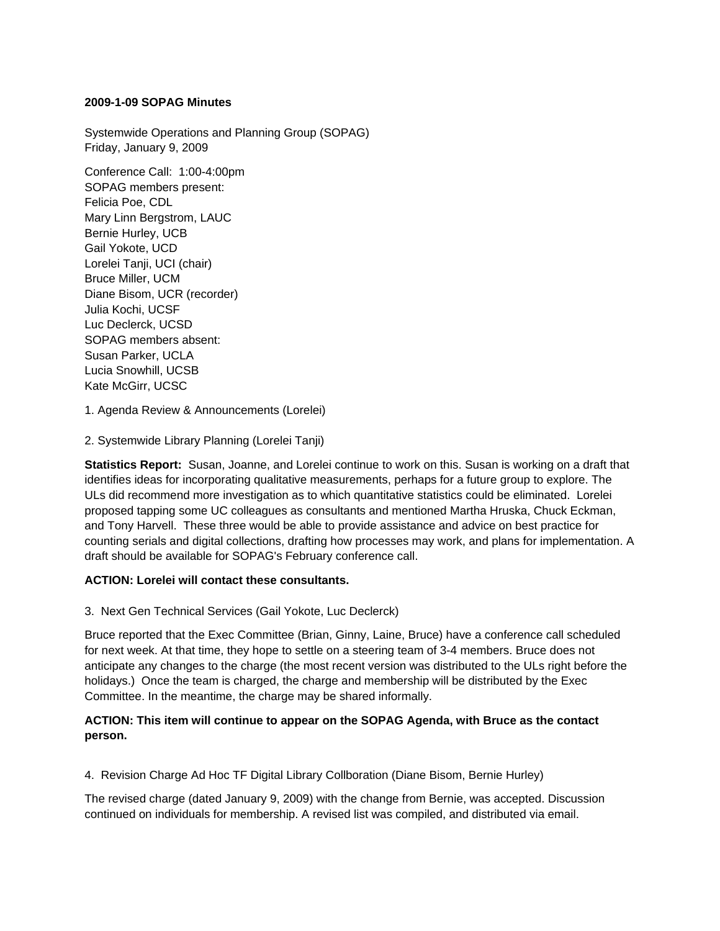#### **2009-1-09 SOPAG Minutes**

Systemwide Operations and Planning Group (SOPAG) Friday, January 9, 2009

Conference Call: 1:00-4:00pm SOPAG members present: Felicia Poe, CDL Mary Linn Bergstrom, LAUC Bernie Hurley, UCB Gail Yokote, UCD Lorelei Tanji, UCI (chair) Bruce Miller, UCM Diane Bisom, UCR (recorder) Julia Kochi, UCSF Luc Declerck, UCSD SOPAG members absent: Susan Parker, UCLA Lucia Snowhill, UCSB Kate McGirr, UCSC

## 1. Agenda Review & Announcements (Lorelei)

2. Systemwide Library Planning (Lorelei Tanji)

**Statistics Report:** Susan, Joanne, and Lorelei continue to work on this. Susan is working on a draft that identifies ideas for incorporating qualitative measurements, perhaps for a future group to explore. The ULs did recommend more investigation as to which quantitative statistics could be eliminated. Lorelei proposed tapping some UC colleagues as consultants and mentioned Martha Hruska, Chuck Eckman, and Tony Harvell. These three would be able to provide assistance and advice on best practice for counting serials and digital collections, drafting how processes may work, and plans for implementation. A draft should be available for SOPAG's February conference call.

## **ACTION: Lorelei will contact these consultants.**

3. Next Gen Technical Services (Gail Yokote, Luc Declerck)

Bruce reported that the Exec Committee (Brian, Ginny, Laine, Bruce) have a conference call scheduled for next week. At that time, they hope to settle on a steering team of 3-4 members. Bruce does not anticipate any changes to the charge (the most recent version was distributed to the ULs right before the holidays.) Once the team is charged, the charge and membership will be distributed by the Exec Committee. In the meantime, the charge may be shared informally.

## **ACTION: This item will continue to appear on the SOPAG Agenda, with Bruce as the contact person.**

4. Revision Charge Ad Hoc TF Digital Library Collboration (Diane Bisom, Bernie Hurley)

The revised charge (dated January 9, 2009) with the change from Bernie, was accepted. Discussion continued on individuals for membership. A revised list was compiled, and distributed via email.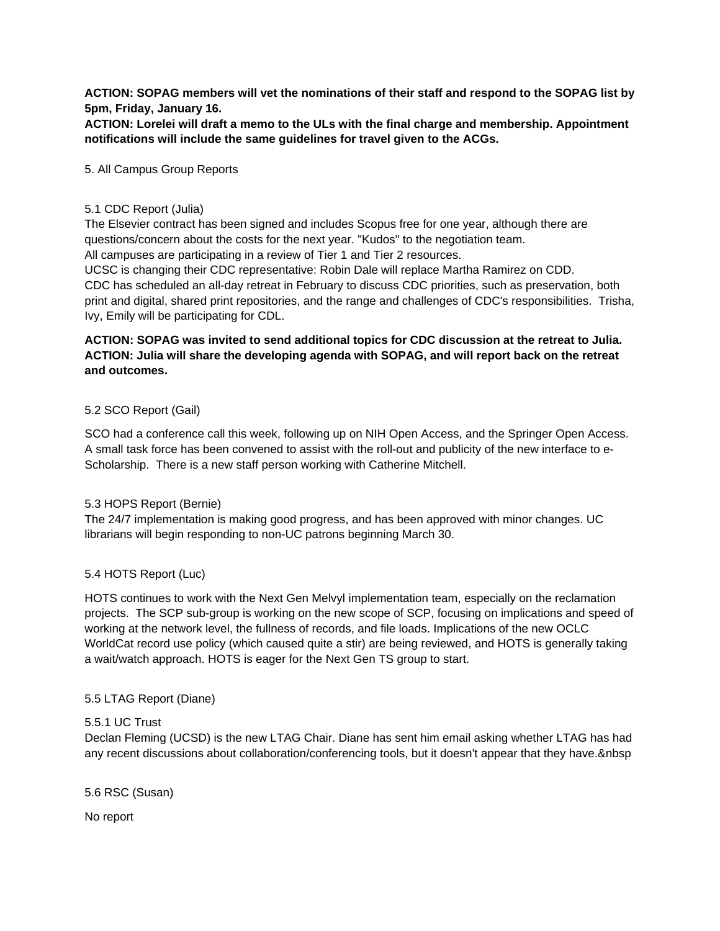**ACTION: SOPAG members will vet the nominations of their staff and respond to the SOPAG list by 5pm, Friday, January 16.**

**ACTION: Lorelei will draft a memo to the ULs with the final charge and membership. Appointment notifications will include the same guidelines for travel given to the ACGs.**

#### 5. All Campus Group Reports

#### 5.1 CDC Report (Julia)

The Elsevier contract has been signed and includes Scopus free for one year, although there are questions/concern about the costs for the next year. "Kudos" to the negotiation team. All campuses are participating in a review of Tier 1 and Tier 2 resources.

UCSC is changing their CDC representative: Robin Dale will replace Martha Ramirez on CDD. CDC has scheduled an all-day retreat in February to discuss CDC priorities, such as preservation, both print and digital, shared print repositories, and the range and challenges of CDC's responsibilities. Trisha, Ivy, Emily will be participating for CDL.

# **ACTION: SOPAG was invited to send additional topics for CDC discussion at the retreat to Julia. ACTION: Julia will share the developing agenda with SOPAG, and will report back on the retreat and outcomes.**

## 5.2 SCO Report (Gail)

SCO had a conference call this week, following up on NIH Open Access, and the Springer Open Access. A small task force has been convened to assist with the roll-out and publicity of the new interface to e-Scholarship. There is a new staff person working with Catherine Mitchell.

## 5.3 HOPS Report (Bernie)

The 24/7 implementation is making good progress, and has been approved with minor changes. UC librarians will begin responding to non-UC patrons beginning March 30.

## 5.4 HOTS Report (Luc)

HOTS continues to work with the Next Gen Melvyl implementation team, especially on the reclamation projects. The SCP sub-group is working on the new scope of SCP, focusing on implications and speed of working at the network level, the fullness of records, and file loads. Implications of the new OCLC WorldCat record use policy (which caused quite a stir) are being reviewed, and HOTS is generally taking a wait/watch approach. HOTS is eager for the Next Gen TS group to start.

## 5.5 LTAG Report (Diane)

#### 5.5.1 UC Trust

Declan Fleming (UCSD) is the new LTAG Chair. Diane has sent him email asking whether LTAG has had any recent discussions about collaboration/conferencing tools, but it doesn't appear that they have. & nbsp

5.6 RSC (Susan)

No report